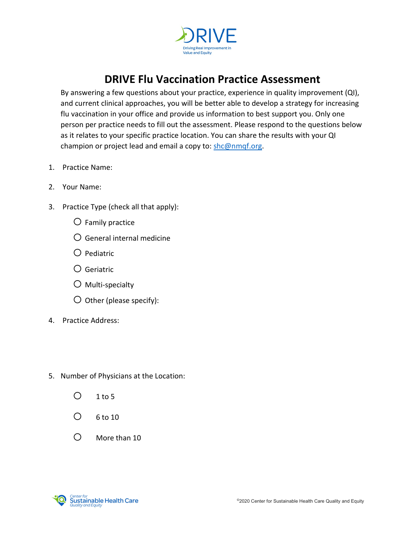

## **DRIVE Flu Vaccination Practice Assessment**

By answering a few questions about your practice, experience in quality improvement (QI), and current clinical approaches, you will be better able to develop a strategy for increasing flu vaccination in your office and provide us information to best support you. Only one person per practice needs to fill out the assessment. Please respond to the questions below as it relates to your specific practice location. You can share the results with your QI champion or project lead and email a copy to: [shc@nmqf.org.](mailto:shc@nmqf.org)

- 1. Practice Name:
- 2. Your Name:
- 3. Practice Type (check all that apply):
	- $\bigcirc$  Family practice
	- $O$  General internal medicine
	- $\bigcirc$  Pediatric
	- o Geriatric
	- $\bigcirc$  Multi-specialty
	- $\bigcirc$  Other (please specify):
- 4. Practice Address:
- 5. Number of Physicians at the Location:
	- $O$  1 to 5
	- $O$  6 to 10
	- $O$  More than 10

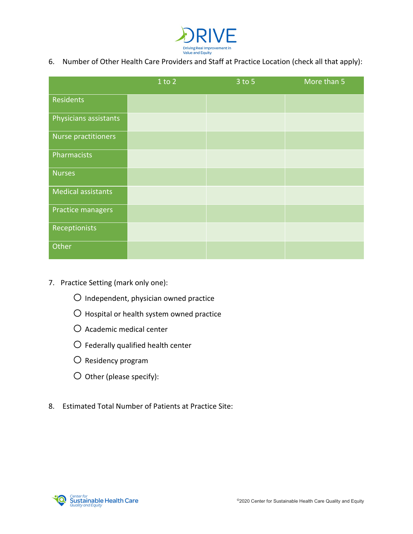

6. Number of Other Health Care Providers and Staff at Practice Location (check all that apply):

|                           | 1 to 2 | $3$ to $5$ | More than 5 |
|---------------------------|--------|------------|-------------|
| Residents                 |        |            |             |
| Physicians assistants     |        |            |             |
| Nurse practitioners       |        |            |             |
| Pharmacists               |        |            |             |
| <b>Nurses</b>             |        |            |             |
| <b>Medical assistants</b> |        |            |             |
| Practice managers         |        |            |             |
| Receptionists             |        |            |             |
| Other                     |        |            |             |

- 7. Practice Setting (mark only one):
	- $O$  Independent, physician owned practice
	- O Hospital or health system owned practice
	- $O$  Academic medical center
	- $O$  Federally qualified health center
	- $O$  Residency program
	- $O$  Other (please specify):
- 8. Estimated Total Number of Patients at Practice Site:

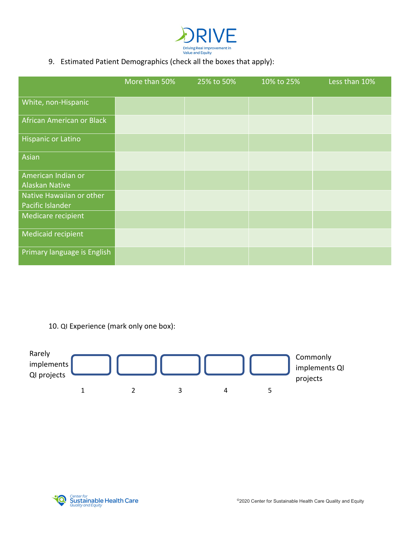

## 9. Estimated Patient Demographics (check all the boxes that apply):

|                                              | More than 50% | 25% to 50% | 10% to 25% | Less than 10% |
|----------------------------------------------|---------------|------------|------------|---------------|
| White, non-Hispanic                          |               |            |            |               |
| African American or Black                    |               |            |            |               |
| <b>Hispanic or Latino</b>                    |               |            |            |               |
| Asian                                        |               |            |            |               |
| American Indian or<br><b>Alaskan Native</b>  |               |            |            |               |
| Native Hawaiian or other<br>Pacific Islander |               |            |            |               |
| Medicare recipient                           |               |            |            |               |
| Medicaid recipient                           |               |            |            |               |
| Primary language is English                  |               |            |            |               |

10. QI Experience (mark only one box):



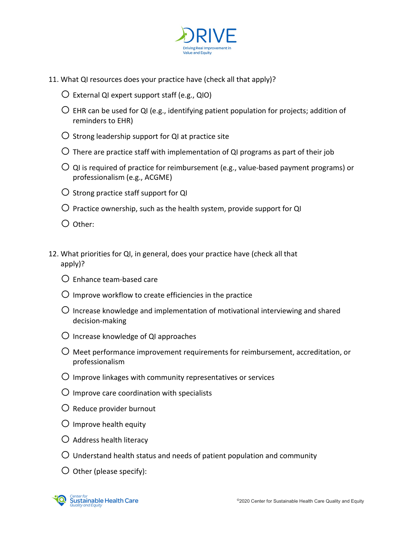

- 11. What QI resources does your practice have (check all that apply)?
	- $\overline{O}$  External QI expert support staff (e.g., QIO)
	- $\bigcirc$  EHR can be used for QI (e.g., identifying patient population for projects; addition of reminders to EHR)
	- $\overline{O}$  Strong leadership support for QI at practice site
	- $\bigcirc$  There are practice staff with implementation of QI programs as part of their job
	- $\overline{O}$  QI is required of practice for reimbursement (e.g., value-based payment programs) or professionalism (e.g., ACGME)
	- $\overline{O}$  Strong practice staff support for QI
	- $\overline{O}$  Practice ownership, such as the health system, provide support for QI
	- $O$  Other:
- 12. What priorities for QI, in general, does your practice have (check all that apply)?
	- $\Omega$  Enhance team-based care
	- $\bigcirc$  Improve workflow to create efficiencies in the practice
	- $\bigcirc$  Increase knowledge and implementation of motivational interviewing and shared decision-making
	- $\bigcirc$  Increase knowledge of QI approaches
	- $\bigcirc$  Meet performance improvement requirements for reimbursement, accreditation, or professionalism
	- $\bigcirc$  Improve linkages with community representatives or services
	- $\overline{O}$  Improve care coordination with specialists
	- $\bigcirc$  Reduce provider burnout
	- $\bigcirc$  Improve health equity
	- $\bigcirc$  Address health literacy
	- $\bigcirc$  Understand health status and needs of patient population and community
	- $\bigcirc$  Other (please specify):

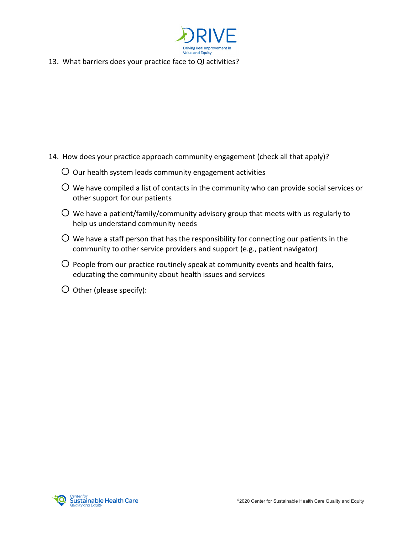

13. What barriers does your practice face to QI activities?

- 14. How does your practice approach community engagement (check all that apply)?
	- $\overline{O}$  Our health system leads community engagement activities
	- $\overline{O}$  We have compiled a list of contacts in the community who can provide social services or other support for our patients
	- $\overline{O}$  We have a patient/family/community advisory group that meets with us regularly to help us understand community needs
	- $\overline{O}$  We have a staff person that has the responsibility for connecting our patients in the community to other service providers and support (e.g., patient navigator)
	- $\overline{O}$  People from our practice routinely speak at community events and health fairs, educating the community about health issues and services
	- $\overline{O}$  Other (please specify):

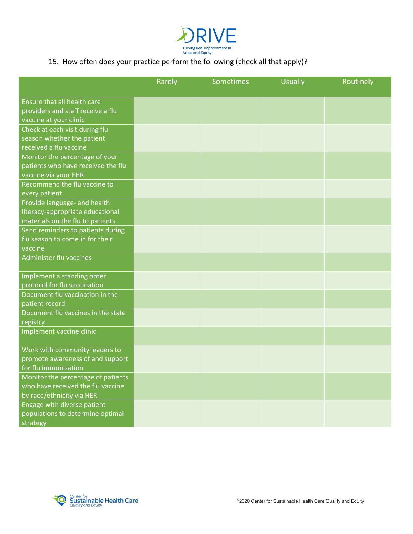

## 15. How often does your practice perform the following (check all that apply)?

|                                    | Rarely | Sometimes | <b>Usually</b> | Routinely |
|------------------------------------|--------|-----------|----------------|-----------|
| Ensure that all health care        |        |           |                |           |
| providers and staff receive a flu  |        |           |                |           |
| vaccine at your clinic             |        |           |                |           |
| Check at each visit during flu     |        |           |                |           |
| season whether the patient         |        |           |                |           |
| received a flu vaccine             |        |           |                |           |
| Monitor the percentage of your     |        |           |                |           |
| patients who have received the flu |        |           |                |           |
| vaccine via your EHR               |        |           |                |           |
| Recommend the flu vaccine to       |        |           |                |           |
| every patient                      |        |           |                |           |
| Provide language- and health       |        |           |                |           |
| literacy-appropriate educational   |        |           |                |           |
| materials on the flu to patients   |        |           |                |           |
| Send reminders to patients during  |        |           |                |           |
| flu season to come in for their    |        |           |                |           |
| vaccine                            |        |           |                |           |
| Administer flu vaccines            |        |           |                |           |
| Implement a standing order         |        |           |                |           |
| protocol for flu vaccination       |        |           |                |           |
| Document flu vaccination in the    |        |           |                |           |
| patient record                     |        |           |                |           |
| Document flu vaccines in the state |        |           |                |           |
| registry                           |        |           |                |           |
| Implement vaccine clinic           |        |           |                |           |
| Work with community leaders to     |        |           |                |           |
| promote awareness of and support   |        |           |                |           |
| for flu immunization               |        |           |                |           |
| Monitor the percentage of patients |        |           |                |           |
| who have received the flu vaccine  |        |           |                |           |
| by race/ethnicity via HER          |        |           |                |           |
| Engage with diverse patient        |        |           |                |           |
| populations to determine optimal   |        |           |                |           |
| strategy                           |        |           |                |           |

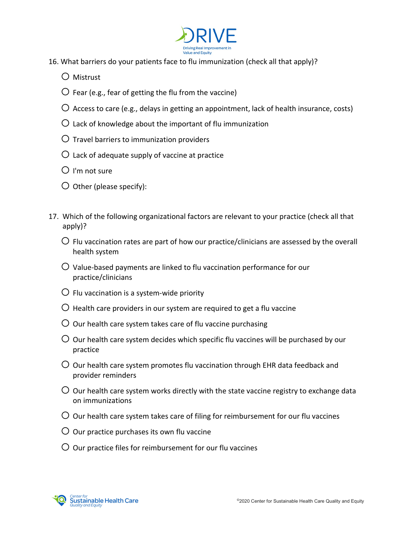

- 16. What barriers do your patients face to flu immunization (check all that apply)?
	- o Mistrust
	- $\bigcirc$  Fear (e.g., fear of getting the flu from the vaccine)
	- $\bigcirc$  Access to care (e.g., delays in getting an appointment, lack of health insurance, costs)
	- $\overline{O}$  Lack of knowledge about the important of flu immunization
	- $\overline{O}$  Travel barriers to immunization providers
	- $\overline{O}$  Lack of adequate supply of vaccine at practice
	- $O$  I'm not sure
	- $\bigcirc$  Other (please specify):
- 17. Which of the following organizational factors are relevant to your practice (check all that apply)?
	- $\overline{O}$  Flu vaccination rates are part of how our practice/clinicians are assessed by the overall health system
	- $\overline{O}$  Value-based payments are linked to flu vaccination performance for our practice/clinicians
	- $\overline{O}$  Flu vaccination is a system-wide priority
	- $\bigcirc$  Health care providers in our system are required to get a flu vaccine
	- $\overline{O}$  Our health care system takes care of flu vaccine purchasing
	- $\overline{O}$  Our health care system decides which specific flu vaccines will be purchased by our practice
	- $\overline{O}$  Our health care system promotes flu vaccination through EHR data feedback and provider reminders
	- $\overline{O}$  Our health care system works directly with the state vaccine registry to exchange data on immunizations
	- $\overline{O}$  Our health care system takes care of filing for reimbursement for our flu vaccines
	- $\overline{O}$  Our practice purchases its own flu vaccine
	- $\overline{O}$  Our practice files for reimbursement for our flu vaccines